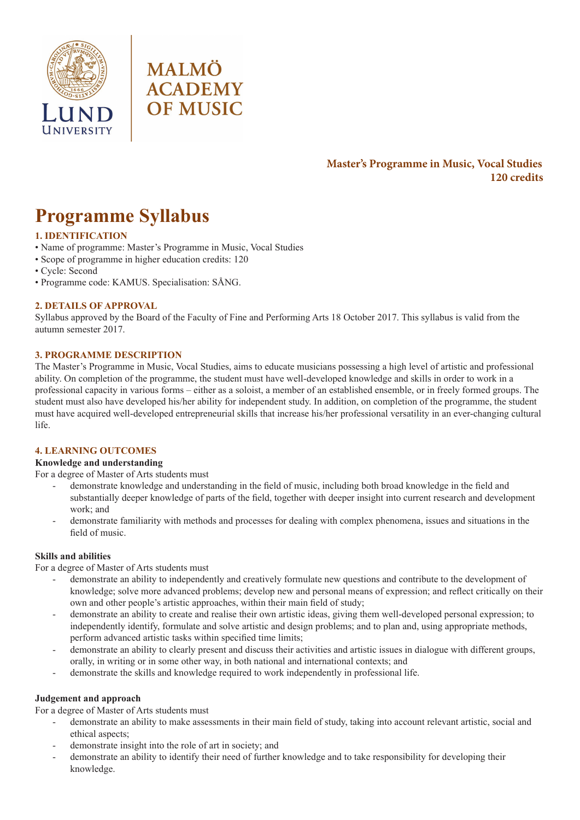



# **Master's Programme in Music, Vocal Studies 120 credits**

# **Programme Syllabus**

# **1. IDENTIFICATION**

- Name of programme: Master's Programme in Music, Vocal Studies
- Scope of programme in higher education credits: 120
- Cycle: Second
- Programme code: KAMUS. Specialisation: SÅNG.

## **2. DETAILS OF APPROVAL**

Syllabus approved by the Board of the Faculty of Fine and Performing Arts 18 October 2017. This syllabus is valid from the autumn semester 2017.

## **3. PROGRAMME DESCRIPTION**

The Master's Programme in Music, Vocal Studies, aims to educate musicians possessing a high level of artistic and professional ability. On completion of the programme, the student must have well-developed knowledge and skills in order to work in a professional capacity in various forms – either as a soloist, a member of an established ensemble, or in freely formed groups. The student must also have developed his/her ability for independent study. In addition, on completion of the programme, the student must have acquired well-developed entrepreneurial skills that increase his/her professional versatility in an ever-changing cultural life.

## **4. LEARNING OUTCOMES**

## **Knowledge and understanding**

For a degree of Master of Arts students must

- demonstrate knowledge and understanding in the field of music, including both broad knowledge in the field and substantially deeper knowledge of parts of the field, together with deeper insight into current research and development work; and
- demonstrate familiarity with methods and processes for dealing with complex phenomena, issues and situations in the field of music.

## **Skills and abilities**

For a degree of Master of Arts students must

- demonstrate an ability to independently and creatively formulate new questions and contribute to the development of knowledge; solve more advanced problems; develop new and personal means of expression; and reflect critically on their own and other people's artistic approaches, within their main field of study;
- demonstrate an ability to create and realise their own artistic ideas, giving them well-developed personal expression; to independently identify, formulate and solve artistic and design problems; and to plan and, using appropriate methods, perform advanced artistic tasks within specified time limits;
- demonstrate an ability to clearly present and discuss their activities and artistic issues in dialogue with different groups, orally, in writing or in some other way, in both national and international contexts; and
- demonstrate the skills and knowledge required to work independently in professional life.

## **Judgement and approach**

For a degree of Master of Arts students must

- demonstrate an ability to make assessments in their main field of study, taking into account relevant artistic, social and ethical aspects;
- demonstrate insight into the role of art in society; and
- demonstrate an ability to identify their need of further knowledge and to take responsibility for developing their knowledge.